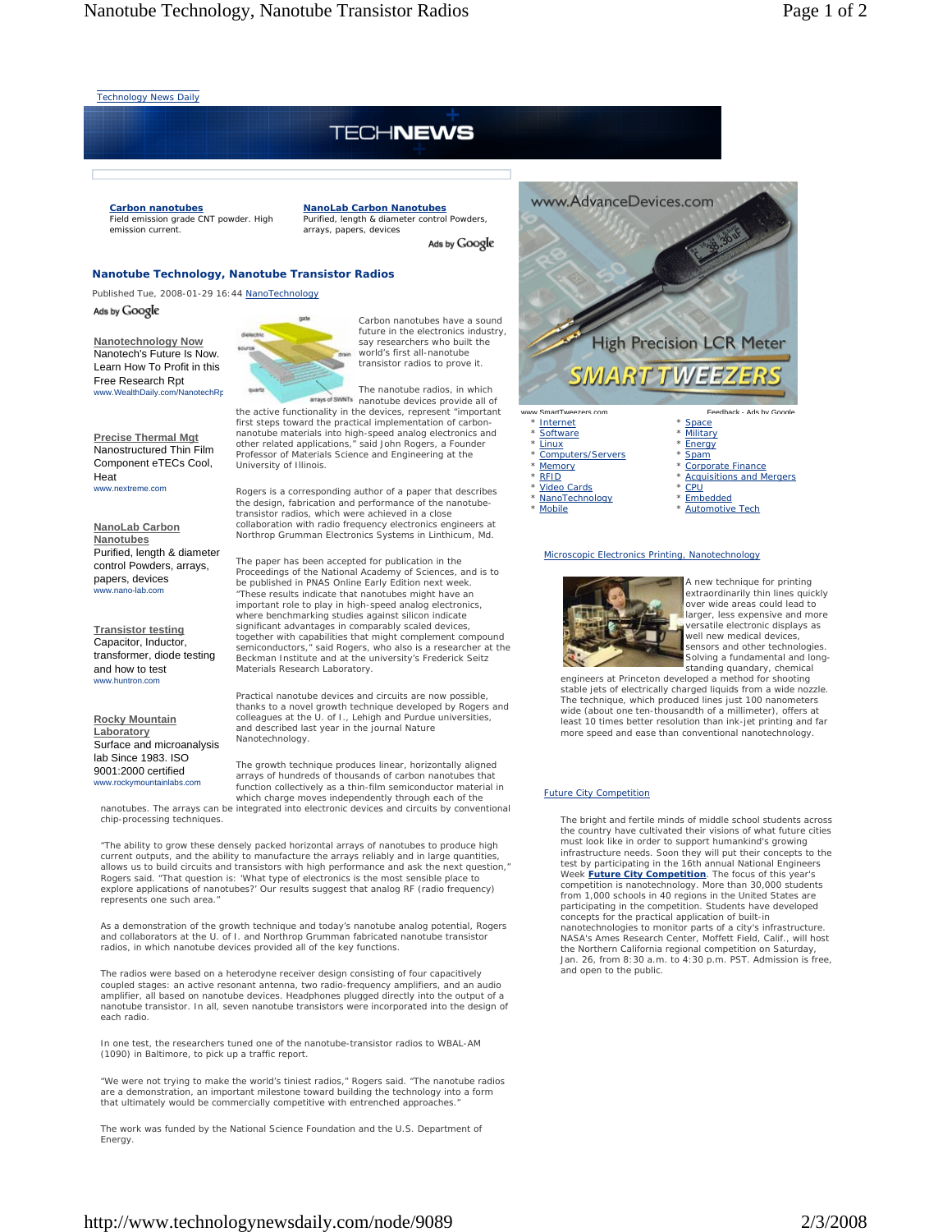Technology News Daily

# **TECHNEWS**

**NanoLab Carbon Nanotubes** Purified, length & diameter control Powders,

arrays, papers, devices

#### **Carbon nanotubes** Field emission grade CNT powder. High

emission current.

#### **Nanotube Technology, Nanotube Transistor Radios**

Published Tue, 2008-01-29 16:44 NanoTechnology Ads by Google

**Nanotechnology Now** Nanotech's Future Is Now. Learn How To Profit in this Free Research Rpt www.WealthDaily.com/NanotechRp

**Precise Thermal Mgt** Nanostructured Thin Film Component eTECs Cool, Heat www.nextreme.com

**NanoLab Carbon Nanotubes** Purified, length & diameter control Powders, arrays, papers, devices www.nano-lab.com

**Transistor testing** Capacitor, Inductor, transformer, diode testing and how to test www.huntron.com

**Rocky Mountain Laboratory** Surface and microanalysis lab Since 1983. ISO 9001:2000 certified www.rockymountainlabs.com

chip-processing techniques.



Carbon nanotubes have a sound future in the electronics industry, say researchers who built the world's first all-nanotube transistor radios to prove it.

Ads by Google

The nanotube radios, in which arrays of SWNTs nanotube devices provide all of

the active functionality in the devices, represent "important first steps toward the practical implementation of carbonnanotube materials into high-speed analog electronics and other related applications," said John Rogers, a Founder Professor of Materials Science and Engineering at the University of Illinois.

Rogers is a corresponding author of a paper that describes the design, fabrication and performance of the nanotube-transistor radios, which were achieved in a close collaboration with radio frequency electronics engineers at Northrop Grumman Electronics Systems in Linthicum, Md.

The paper has been accepted for publication in the Proceedings of the National Academy of Sciences, and is to be published in PNAS Online Early Edition next week. "These results indicate that nanotubes might have an important role to play in high-speed analog electronics, where benchmarking studies against silicon indicate significant advantages in comparably scaled devices,<br>together with capabilities that might complement compound<br>semiconductors," said Rogers, who also is a researcher at the<br>Beckman Institute and at the university's Frederi Materials Research Laboratory.

Practical nanotube devices and circuits are now possible, thanks to a novel growth technique developed by Rogers and colleagues at the U. of I., Lehigh and Purdue universities, and described last year in the journal Nature Nanotechnology.

The growth technique produces linear, horizontally aligned arrays of hundreds of thousands of carbon nanotubes that function collectively as a thin-film semiconductor material in which charge moves independently through each of the nanotubes. The arrays can be integrated into electronic devices and circuits by conventional

"The ability to grow these densely packed horizontal arrays of nanotubes to produce high current outputs, and the ability to manufacture the arrays reliably and in large quantities, allows us to build circuits and transistors with high performance and ask the next question," Rogers said. "That question is: 'What type of electronics is the most sensible place to explore applications of nanotubes?' Our results suggest that analog RF (radio frequency) represents one such area."

As a demonstration of the growth technique and today's nanotube analog potential, Rogers and collaborators at the U. of I. and Northrop Grumman fabricated nanotube transistor radios, in which nanotube devices provided all of the key functions.

The radios were based on a heterodyne receiver design consisting of four capacitively coupled stages: an active resonant antenna, two radio-frequency amplifiers, and an audio amplifier, all based on nanotube devices. Headphones plugged directly into the output of a nanotube transistor. In all, seven nanotube transistors were incorporated into the design of each radio.

In one test, the researchers tuned one of the nanotube-transistor radios to WBAL-AM (1090) in Baltimore, to pick up a traffic report.

"We were not trying to make the world's tiniest radios," Rogers said. "The nanotube radios are a demonstration, an important milestone toward building the technology into a form that ultimately would be commercially competitive with entrenched approaches.

The work was funded by the National Science Foundation and the U.S. Department of Energy.



| * Internet                    |
|-------------------------------|
| * Software                    |
| * Linux                       |
| *<br><b>Computers/Servers</b> |
| * Memory                      |
| * RFID                        |
| * Video Cards                 |
| * NanoTechnology              |
| ×<br><b>Mobile</b>            |

**Military Energy** \* Spam \* Corporate Finance \* Acquisitions and Mergers CPU **Embedded** 

#### Automotive Tech

#### Microscopic Electronics Printing, Nanotechnology



A new technique for printing extraordinarily thin lines quickly over wide areas could lead to larger, less expensive and more ersatile electronic displays as well new medical devices, sensors and other technologies. Solving a fundamental and longstanding quandary, chemical

engineers at Princeton developed a method for shooting stable jets of electrically charged liquids from a wide nozzle. The technique, which produced lines just 100 nanometers wide (about one ten-thousandth of a millimeter), offers at least 10 times better resolution than ink-jet printing and far more speed and ease than conventional nanotechnology.

## Future City Competition

The bright and fertile minds of middle school students across the country have cultivated their visions of what future cities must look like in order to support humankind's growing infrastructure needs. Soon they will put their concepts to the test by participating in the 16th annual National Engineers Week Euture City Competition. The focus of this year's<br>competition is nanotechnology. More than 30,000 students<br>from 1,000 schools in 40 regions in the United States are participating in the competition. Students have developed concepts for the practical application of built-in nanotechnologies to monitor parts of a city's infrastructure. NASA's Ames Research Center, Moffett Field, Calif., will host the Northern California regional competition on Saturday, Jan. 26, from 8:30 a.m. to 4:30 p.m. PST. Admission is free, and open to the public.